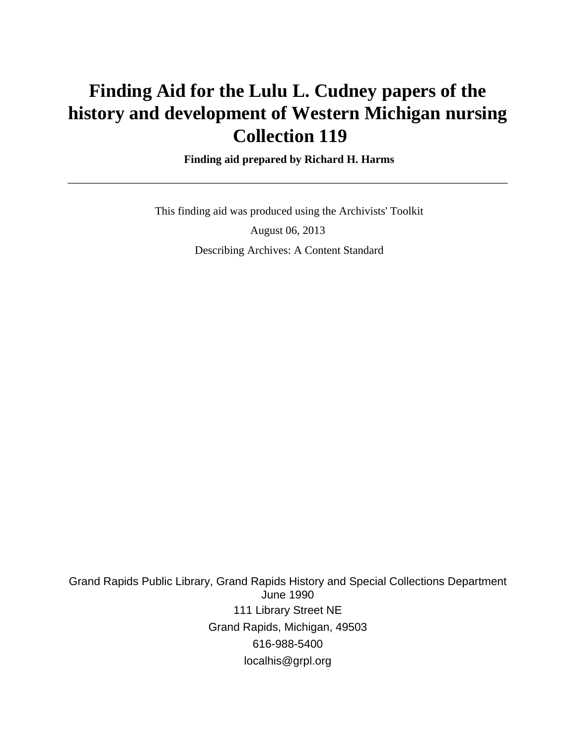# **Finding Aid for the Lulu L. Cudney papers of the history and development of Western Michigan nursing Collection 119**

#### **Finding aid prepared by Richard H. Harms**

 This finding aid was produced using the Archivists' Toolkit August 06, 2013 Describing Archives: A Content Standard

Grand Rapids Public Library, Grand Rapids History and Special Collections Department June 1990 111 Library Street NE Grand Rapids, Michigan, 49503 616-988-5400 localhis@grpl.org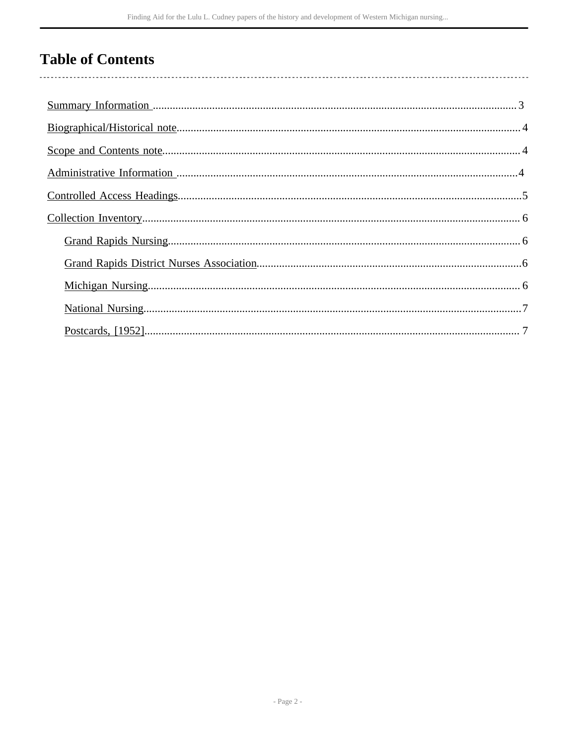## **Table of Contents**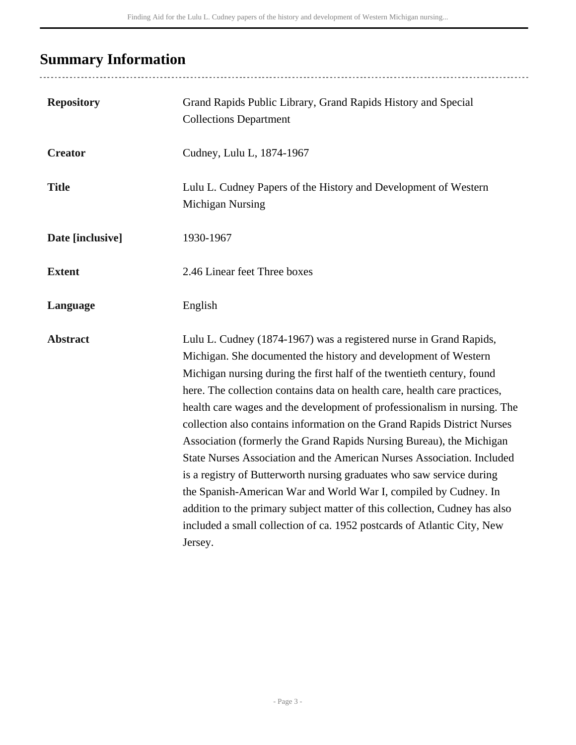## <span id="page-2-0"></span>**Summary Information**

| <b>Repository</b> | Grand Rapids Public Library, Grand Rapids History and Special<br><b>Collections Department</b>                                                                                                                                                                                                                                                                                                                                                                                                                                                                                                                                                                                                                                                                                                                                                                                                                          |
|-------------------|-------------------------------------------------------------------------------------------------------------------------------------------------------------------------------------------------------------------------------------------------------------------------------------------------------------------------------------------------------------------------------------------------------------------------------------------------------------------------------------------------------------------------------------------------------------------------------------------------------------------------------------------------------------------------------------------------------------------------------------------------------------------------------------------------------------------------------------------------------------------------------------------------------------------------|
| <b>Creator</b>    | Cudney, Lulu L, 1874-1967                                                                                                                                                                                                                                                                                                                                                                                                                                                                                                                                                                                                                                                                                                                                                                                                                                                                                               |
| <b>Title</b>      | Lulu L. Cudney Papers of the History and Development of Western<br><b>Michigan Nursing</b>                                                                                                                                                                                                                                                                                                                                                                                                                                                                                                                                                                                                                                                                                                                                                                                                                              |
| Date [inclusive]  | 1930-1967                                                                                                                                                                                                                                                                                                                                                                                                                                                                                                                                                                                                                                                                                                                                                                                                                                                                                                               |
| <b>Extent</b>     | 2.46 Linear feet Three boxes                                                                                                                                                                                                                                                                                                                                                                                                                                                                                                                                                                                                                                                                                                                                                                                                                                                                                            |
| Language          | English                                                                                                                                                                                                                                                                                                                                                                                                                                                                                                                                                                                                                                                                                                                                                                                                                                                                                                                 |
| <b>Abstract</b>   | Lulu L. Cudney (1874-1967) was a registered nurse in Grand Rapids,<br>Michigan. She documented the history and development of Western<br>Michigan nursing during the first half of the twentieth century, found<br>here. The collection contains data on health care, health care practices,<br>health care wages and the development of professionalism in nursing. The<br>collection also contains information on the Grand Rapids District Nurses<br>Association (formerly the Grand Rapids Nursing Bureau), the Michigan<br>State Nurses Association and the American Nurses Association. Included<br>is a registry of Butterworth nursing graduates who saw service during<br>the Spanish-American War and World War I, compiled by Cudney. In<br>addition to the primary subject matter of this collection, Cudney has also<br>included a small collection of ca. 1952 postcards of Atlantic City, New<br>Jersey. |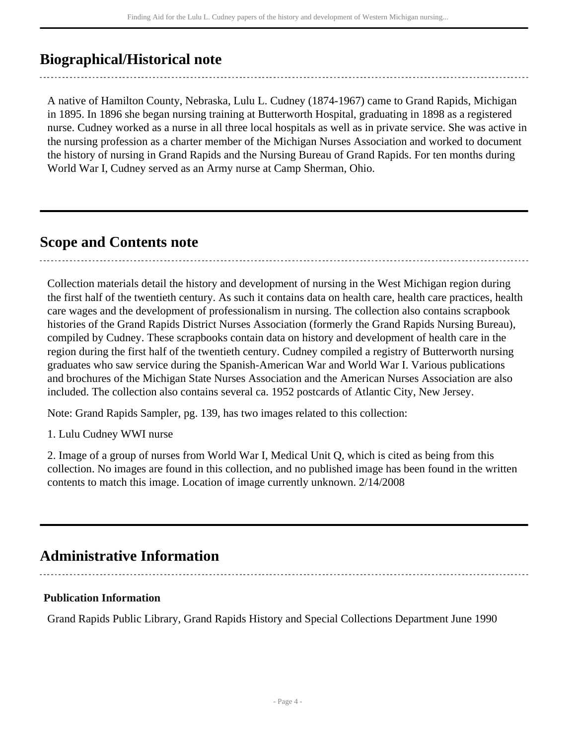### <span id="page-3-0"></span>**Biographical/Historical note**

A native of Hamilton County, Nebraska, Lulu L. Cudney (1874-1967) came to Grand Rapids, Michigan in 1895. In 1896 she began nursing training at Butterworth Hospital, graduating in 1898 as a registered nurse. Cudney worked as a nurse in all three local hospitals as well as in private service. She was active in the nursing profession as a charter member of the Michigan Nurses Association and worked to document the history of nursing in Grand Rapids and the Nursing Bureau of Grand Rapids. For ten months during World War I, Cudney served as an Army nurse at Camp Sherman, Ohio.

### <span id="page-3-1"></span>**Scope and Contents note**

Collection materials detail the history and development of nursing in the West Michigan region during the first half of the twentieth century. As such it contains data on health care, health care practices, health care wages and the development of professionalism in nursing. The collection also contains scrapbook histories of the Grand Rapids District Nurses Association (formerly the Grand Rapids Nursing Bureau), compiled by Cudney. These scrapbooks contain data on history and development of health care in the region during the first half of the twentieth century. Cudney compiled a registry of Butterworth nursing graduates who saw service during the Spanish-American War and World War I. Various publications and brochures of the Michigan State Nurses Association and the American Nurses Association are also included. The collection also contains several ca. 1952 postcards of Atlantic City, New Jersey.

Note: Grand Rapids Sampler, pg. 139, has two images related to this collection:

1. Lulu Cudney WWI nurse

2. Image of a group of nurses from World War I, Medical Unit Q, which is cited as being from this collection. No images are found in this collection, and no published image has been found in the written contents to match this image. Location of image currently unknown. 2/14/2008

### <span id="page-3-2"></span>**Administrative Information**

#### **Publication Information**

Grand Rapids Public Library, Grand Rapids History and Special Collections Department June 1990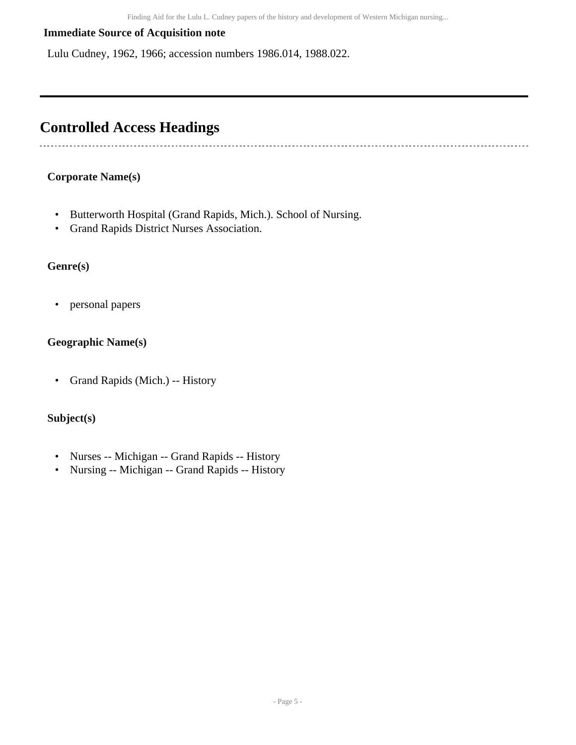#### **Immediate Source of Acquisition note**

Lulu Cudney, 1962, 1966; accession numbers 1986.014, 1988.022.

### <span id="page-4-0"></span>**Controlled Access Headings**

#### **Corporate Name(s)**

---------------------

- Butterworth Hospital (Grand Rapids, Mich.). School of Nursing.
- Grand Rapids District Nurses Association.

#### **Genre(s)**

• personal papers

#### **Geographic Name(s)**

• Grand Rapids (Mich.) -- History

#### **Subject(s)**

- Nurses -- Michigan -- Grand Rapids -- History
- Nursing -- Michigan -- Grand Rapids -- History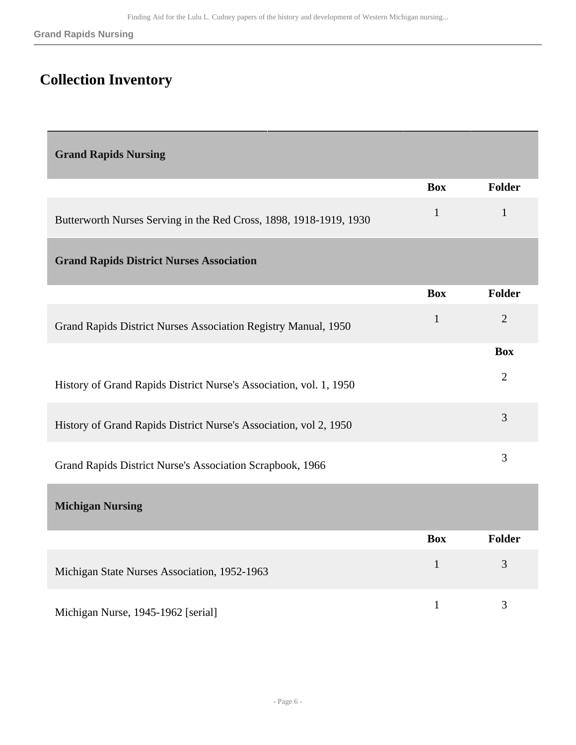## <span id="page-5-0"></span>**Collection Inventory**

<span id="page-5-3"></span><span id="page-5-2"></span><span id="page-5-1"></span>

| <b>Grand Rapids Nursing</b>                                        |              |                |  |  |
|--------------------------------------------------------------------|--------------|----------------|--|--|
|                                                                    | <b>Box</b>   | <b>Folder</b>  |  |  |
| Butterworth Nurses Serving in the Red Cross, 1898, 1918-1919, 1930 | $\mathbf{1}$ | $\mathbf{1}$   |  |  |
| <b>Grand Rapids District Nurses Association</b>                    |              |                |  |  |
|                                                                    | <b>Box</b>   | <b>Folder</b>  |  |  |
| Grand Rapids District Nurses Association Registry Manual, 1950     | $\mathbf{1}$ | $\overline{2}$ |  |  |
|                                                                    |              | <b>Box</b>     |  |  |
| History of Grand Rapids District Nurse's Association, vol. 1, 1950 |              | $\overline{2}$ |  |  |
| History of Grand Rapids District Nurse's Association, vol 2, 1950  |              | 3              |  |  |
| Grand Rapids District Nurse's Association Scrapbook, 1966          |              | 3              |  |  |
| <b>Michigan Nursing</b>                                            |              |                |  |  |
|                                                                    | <b>Box</b>   | <b>Folder</b>  |  |  |
| Michigan State Nurses Association, 1952-1963                       | $\mathbf{1}$ | 3              |  |  |
| Michigan Nurse, 1945-1962 [serial]                                 | $\mathbf{1}$ | 3              |  |  |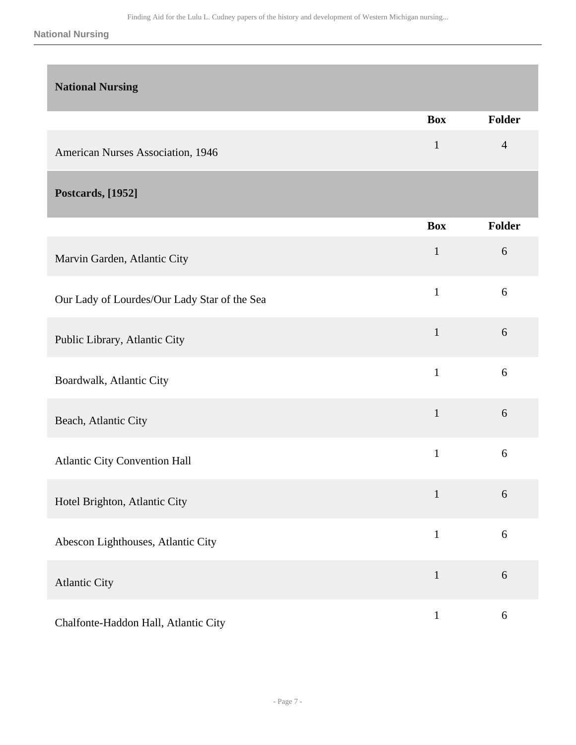#### **National Nursing**

<span id="page-6-1"></span><span id="page-6-0"></span>

| <b>National Nursing</b>                      |              |                |
|----------------------------------------------|--------------|----------------|
|                                              | <b>Box</b>   | Folder         |
| American Nurses Association, 1946            | $\mathbf{1}$ | $\overline{4}$ |
| <b>Postcards, [1952]</b>                     |              |                |
|                                              | <b>Box</b>   | <b>Folder</b>  |
| Marvin Garden, Atlantic City                 | $\mathbf{1}$ | 6              |
| Our Lady of Lourdes/Our Lady Star of the Sea | $\mathbf{1}$ | 6              |
| Public Library, Atlantic City                | $\mathbf{1}$ | 6              |
| Boardwalk, Atlantic City                     | $\mathbf{1}$ | 6              |
| Beach, Atlantic City                         | $\mathbf{1}$ | 6              |
| <b>Atlantic City Convention Hall</b>         | $\mathbf{1}$ | 6              |
| Hotel Brighton, Atlantic City                | $\mathbf{1}$ | 6              |
| Abescon Lighthouses, Atlantic City           | $\mathbf{1}$ | $6\,$          |
| <b>Atlantic City</b>                         | $\mathbf{1}$ | 6              |
| Chalfonte-Haddon Hall, Atlantic City         | $\mathbf{1}$ | 6              |